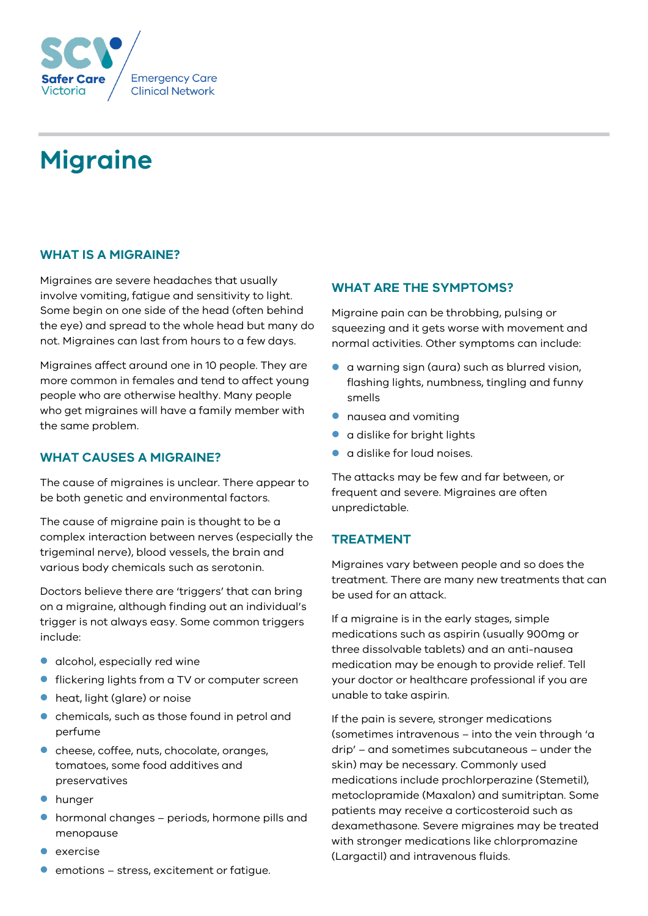

# **Migraine**

## **WHAT IS A MIGRAINE?**

Migraines are severe headaches that usually involve vomiting, fatigue and sensitivity to light. Some begin on one side of the head (often behind the eye) and spread to the whole head but many do not. Migraines can last from hours to a few days.

Migraines affect around one in 10 people. They are more common in females and tend to affect young people who are otherwise healthy. Many people who get migraines will have a family member with the same problem.

#### **WHAT CAUSES A MIGRAINE?**

The cause of migraines is unclear. There appear to be both genetic and environmental factors.

The cause of migraine pain is thought to be a complex interaction between nerves (especially the trigeminal nerve), blood vessels, the brain and various body chemicals such as serotonin.

Doctors believe there are 'triggers' that can bring on a migraine, although finding out an individual's trigger is not always easy. Some common triggers include:

- **•** alcohol, especially red wine
- **fickering lights from a TV or computer screen**
- heat, light (glare) or noise
- **•** chemicals, such as those found in petrol and perfume
- **cheese, coffee, nuts, chocolate, oranges,** tomatoes, some food additives and preservatives
- **•** hunger
- hormonal changes periods, hormone pills and menopause
- exercise
- emotions stress, excitement or fatigue.

# **WHAT ARE THE SYMPTOMS?**

Migraine pain can be throbbing, pulsing or squeezing and it gets worse with movement and normal activities. Other symptoms can include:

- a warning sign (aura) such as blurred vision, flashing lights, numbness, tingling and funny smells
- nausea and vomiting
- a dislike for bright lights
- a dislike for loud noises.

The attacks may be few and far between, or frequent and severe. Migraines are often unpredictable.

#### **TREATMENT**

Migraines vary between people and so does the treatment. There are many new treatments that can be used for an attack.

If a migraine is in the early stages, simple medications such as aspirin (usually 900mg or three dissolvable tablets) and an anti-nausea medication may be enough to provide relief. Tell your doctor or healthcare professional if you are unable to take aspirin.

If the pain is severe, stronger medications (sometimes intravenous – into the vein through 'a drip' – and sometimes subcutaneous – under the skin) may be necessary. Commonly used medications include prochlorperazine (Stemetil), metoclopramide (Maxalon) and sumitriptan. Some patients may receive a corticosteroid such as dexamethasone. Severe migraines may be treated with stronger medications like chlorpromazine (Largactil) and intravenous fluids.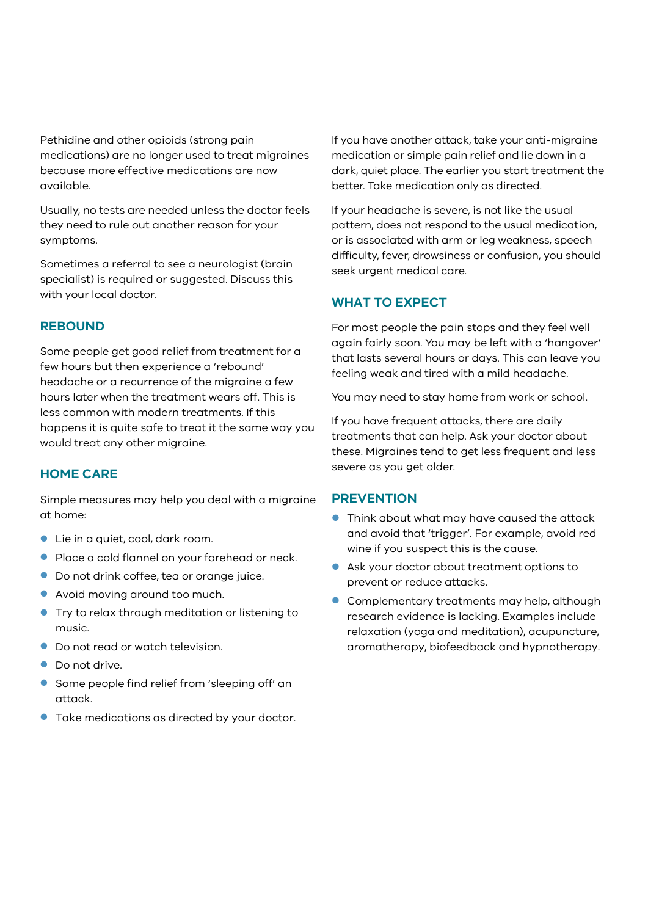Pethidine and other opioids (strong pain medications) are no longer used to treat migraines because more effective medications are now available.

Usually, no tests are needed unless the doctor feels they need to rule out another reason for your symptoms.

Sometimes a referral to see a neurologist (brain specialist) is required or suggested. Discuss this with your local doctor.

## **REBOUND**

Some people get good relief from treatment for a few hours but then experience a 'rebound' headache or a recurrence of the migraine a few hours later when the treatment wears off. This is less common with modern treatments. If this happens it is quite safe to treat it the same way you would treat any other migraine.

#### **HOME CARE**

Simple measures may help you deal with a migraine at home:

- Lie in a quiet, cool, dark room.
- **Place a cold flannel on your forehead or neck.**
- Do not drink coffee, tea or orange juice.
- Avoid moving around too much.
- **Try to relax through meditation or listening to** music.
- Do not read or watch television.
- Do not drive.
- **Some people find relief from 'sleeping off' an** attack.
- **Take medications as directed by your doctor.**

If you have another attack, take your anti-migraine medication or simple pain relief and lie down in a dark, quiet place. The earlier you start treatment the better. Take medication only as directed.

If your headache is severe, is not like the usual pattern, does not respond to the usual medication, or is associated with arm or leg weakness, speech difficulty, fever, drowsiness or confusion, you should seek urgent medical care.

#### **WHAT TO EXPECT**

For most people the pain stops and they feel well again fairly soon. You may be left with a 'hangover' that lasts several hours or days. This can leave you feeling weak and tired with a mild headache.

You may need to stay home from work or school.

If you have frequent attacks, there are daily treatments that can help. Ask your doctor about these. Migraines tend to get less frequent and less severe as you get older.

#### **PREVENTION**

- **•** Think about what may have caused the attack and avoid that 'trigger'. For example, avoid red wine if you suspect this is the cause.
- Ask your doctor about treatment options to prevent or reduce attacks.
- **Complementary treatments may help, although** research evidence is lacking. Examples include relaxation (yoga and meditation), acupuncture, aromatherapy, biofeedback and hypnotherapy.